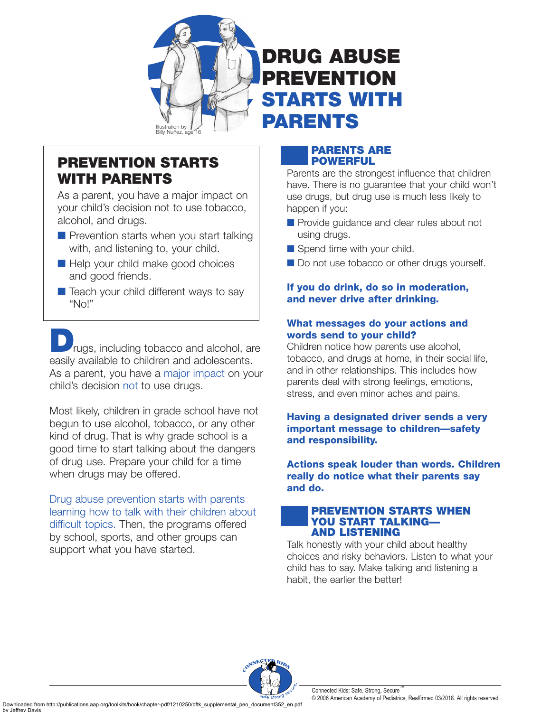

# **PREVENTION STARTS WITH PARENTS**

As a parent, you have a major impact on your child's decision not to use tobacco, alcohol, and drugs.

- Prevention starts when you start talking with, and listening to, your child.
- Help your child make good choices and good friends.
- Teach your child different ways to say "No!"

rugs, including tobacco and alcohol, are easily available to children and adolescents. As a parent, you have a major impact on your child's decision not to use drugs.

Most likely, children in grade school have not begun to use alcohol, tobacco, or any other kind of drug. That is why grade school is a good time to start talking about the dangers of drug use. Prepare your child for a time when drugs may be offered.

Drug abuse prevention starts with parents learning how to talk with their children about difficult topics. Then, the programs offered by school, sports, and other groups can support what you have started.

# **PARENTS ARE POWERFUL**

**DRUG ABUSE**

**PREVENTION**

**STARTS WITH**

**PARENTS**

Parents are the strongest influence that children have. There is no guarantee that your child won't use drugs, but drug use is much less likely to happen if you:

- Provide quidance and clear rules about not using drugs.
- Spend time with your child.
- Do not use tobacco or other drugs yourself.

# **If you do drink, do so in moderation, and never drive after drinking.**

# **What messages do your actions and words send to your child?**

Children notice how parents use alcohol, tobacco, and drugs at home, in their social life, and in other relationships. This includes how parents deal with strong feelings, emotions, stress, and even minor aches and pains.

# **Having a designated driver sends a very important message to children—safety and responsibility.**

**Actions speak louder than words. Children really do notice what their parents say and do.**

#### **PREVENTION STARTS WHEN YOU START TALKING— AND LISTENING**

Talk honestly with your child about healthy choices and risky behaviors. Listen to what your child has to say. Make talking and listening a habit, the earlier the better!



Connected Kids: Safe, Strong, Secure © 2006 American Academy of Pediatrics, Reaffirmed 03/2018. All rights reserved.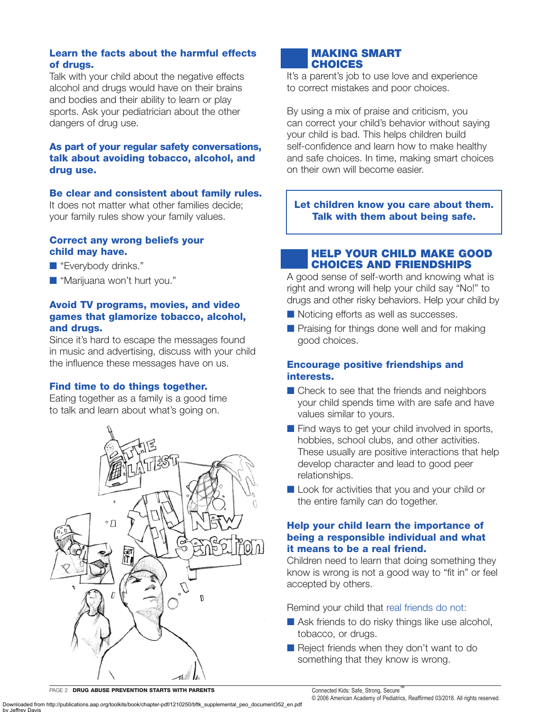## **Learn the facts about the harmful effects of drugs.**

Talk with your child about the negative effects alcohol and drugs would have on their brains and bodies and their ability to learn or play sports. Ask your pediatrician about the other dangers of drug use.

## **As part of your regular safety conversations, talk about avoiding tobacco, alcohol, and drug use.**

#### **Be clear and consistent about family rules.**

It does not matter what other families decide; your family rules show your family values.

#### **Correct any wrong beliefs your child may have.**

- "Everybody drinks."
- "Marijuana won't hurt you."

### **Avoid TV programs, movies, and video games that glamorize tobacco, alcohol, and drugs.**

Since it's hard to escape the messages found in music and advertising, discuss with your child the influence these messages have on us.

#### **Find time to do things together.**

Eating together as a family is a good time to talk and learn about what's going on.



# **MAKING SMART CHOICES**

It's a parent's job to use love and experience to correct mistakes and poor choices.

By using a mix of praise and criticism, you can correct your child's behavior without saying your child is bad. This helps children build self-confidence and learn how to make healthy and safe choices. In time, making smart choices on their own will become easier.

**Let children know you care about them. Talk with them about being safe.**

## **HELP YOUR CHILD MAKE GOOD CHOICES AND FRIENDSHIPS**

A good sense of self-worth and knowing what is right and wrong will help your child say "No!" to drugs and other risky behaviors. Help your child by

- Noticing efforts as well as successes.
- Praising for things done well and for making good choices.

## **Encourage positive friendships and interests.**

- Check to see that the friends and neighbors your child spends time with are safe and have values similar to yours.
- Find ways to get your child involved in sports, hobbies, school clubs, and other activities. These usually are positive interactions that help develop character and lead to good peer relationships.
- Look for activities that you and your child or the entire family can do together.

#### **Help your child learn the importance of being a responsible individual and what it means to be a real friend.**

Children need to learn that doing something they know is wrong is not a good way to "fit in" or feel accepted by others.

Remind your child that real friends do not:

- Ask friends to do risky things like use alcohol, tobacco, or drugs.
- Reject friends when they don't want to do something that they know is wrong.

PAGE 2 **DRUG ABUSE PREVENTION STARTS WITH PARENTS**

Connected Kids: Safe, Strong, Secure

Downloaded from http://publications.aap.org/toolkits/book/chapter-pdf/1210250/bftk\_supplemental\_peo\_document352\_en.pdf

effrey

<sup>© 2006</sup> American Academy of Pediatrics, Reaffirmed 03/2018. All rights reserved.